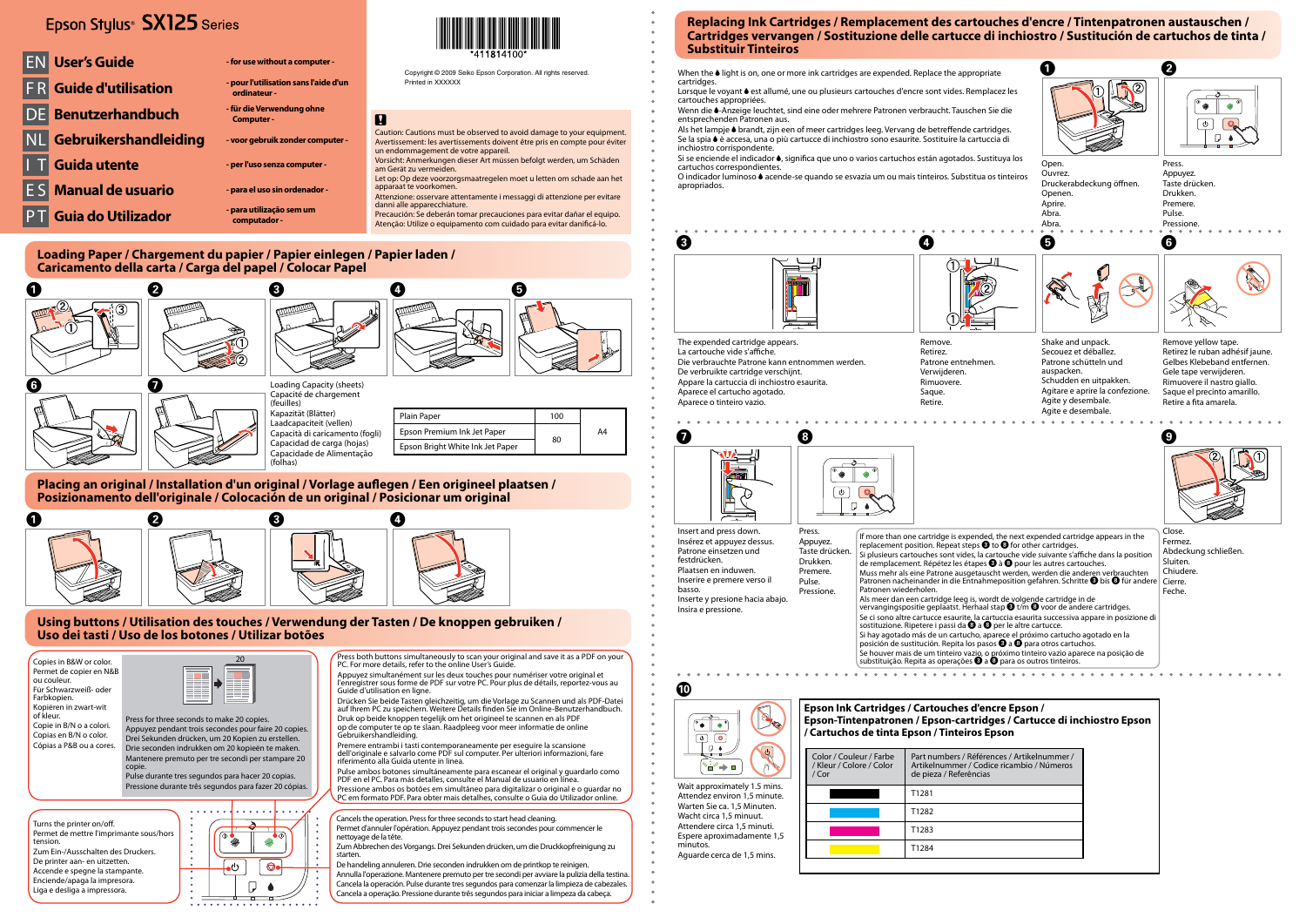# Epson Stylus<sup>®</sup> SX125 Series

**EN User's Guide** *COMPONE*  $\cdot$  for use without a computer

## **Loading Paper / Chargement du papier / Papier einlegen / Papier laden / Caricamento della carta / Carga del papel / Colocar Papel**













(folhas)

| ıli) | Plain Paper                      | 100 |    |
|------|----------------------------------|-----|----|
|      | Epson Premium Ink Jet Paper      |     | A4 |
|      | Epson Bright White Ink Jet Paper | 80  |    |

# **Placing an original / Installation d'un original / Vorlage auflegen / Een origineel plaatsen / Posizionamento dell'originale / Colocación de un original / Posicionar um original**



Copyright © 2009 Seiko Epson Corporation. All rights reserved. Printed in XXXXXX

# $\overline{\mathbf{u}}$

## **Using buttons / Utilisation des touches / Verwendung der Tasten / De knoppen gebruiken / Uso dei tasti / Uso de los botones / Utilizar botões**

F R **Guide d'utilisation - pour l'utilisation sans l'aide d'un** 

**ordinateur -**

DE **Benutzerhandbuch - für die Verwendung ohne** 

**Computer -**

NL **Gebruikershandleiding - voor gebruik zonder computer -**

I T **Guida utente - per l'uso senza computer -**

**Manual de usuario** *And are all uso sin ordenador* 

When the  $\triangle$  light is on, one or more ink cartridges are expended. Replace the appropriate cartridges.

P T **Guia do Utilizador - para utilização sem um** 



**computador -**

O indicador luminoso  $\bullet$  acende-se quando se esvazia um ou mais tinteiros. Substitua os tinteiros apropriados.



- Caution: Cautions must be observed to avoid damage to your equipment. Avertissement: les avertissements doivent être pris en compte pour éviter un endommagement de votre appareil. Vorsicht: Anmerkungen dieser Art müssen befolgt werden, um Schäden
- am Gerät zu vermeiden. Let op: Op deze voorzorgsmaatregelen moet u letten om schade aan het
- apparaat te voorkomen. Attenzione: osservare attentamente i messaggi di attenzione per evitare
- danni alle apparecchiature. Precaución: Se deberán tomar precauciones para evitar dañar el equipo.

Atenção: Utilize o equipamento com cuidado para evitar danificá-lo.

# **Replacing Ink Cartridges / Remplacement des cartouches d'encre / Tintenpatronen austauschen / Cartridges vervangen / Sostituzione delle cartucce di inchiostro / Sustitución de cartuchos de tinta / Substituir Tinteiros**

- cartouches appropriées.
- entsprechenden Patronen aus.
- Se la spia  $\bullet$  è accesa, una o più cartucce di inchiostro sono esaurite. Sostituire la cartuccia di inchiostro corrispondente.
- Si se enciende el indicador ·, significa que uno o varios cartuchos están agotados. Sustituya los cartuchos correspondientes.

The expended cartridge appears. La cartouche vide s'affiche. Die verbrauchte Patrone kann entnommen werden. De verbruikte cartridge verschijnt. Appare la cartuccia di inchiostro esaurita. Aparece el cartucho agotado. Aparece o tinteiro vazio.

Remove. Retirez. Verwijderen Rimuovere. Saque. Retire.







Insert and press down. Insérez et appuyez dessus. Patrone einsetzen und festdrücken. Plaatsen en induwen. Inserire e premere verso il basso. Inserte y presione hacia abajo. Insira e pressione.





| Color / Couleur / Farbe<br>/ Kleur / Colore / Color<br>$/$ Cor | Part numbers / Référe<br>Artikelnummer / Cod<br>de pieza / Referências |  |  |
|----------------------------------------------------------------|------------------------------------------------------------------------|--|--|
|                                                                | T1281                                                                  |  |  |
|                                                                | T1282                                                                  |  |  |
|                                                                | T1283                                                                  |  |  |
|                                                                | T1284                                                                  |  |  |

Wait approximately 1.5 mins. Attendez environ 1,5 minute. Warten Sie ca. 1,5 Minuten. Wacht circa 1,5 minuut.

- Attendere circa 1,5 minuti.
- Espere aproximadamente 1,5 minutos.

Aguarde cerca de 1,5 mins.

Press both buttons simultaneously to scan your original and save it as a PDF on your PC. For more details, refer to the online User's Guide.

Appuyez simultanément sur les deux touches pour numériser votre original et l'enregistrer sous forme de PDF sur votre PC. Pour plus de détails, reportez-vous au Guide d'utilisation en ligne.

Drücken Sie beide Tasten gleichzeitig, um die Vorlage zu Scannen und als PDF-Datei auf Ihrem PC zu speichern. Weitere Details finden Sie im Online-Benutzerhandbuch. Druk op beide knoppen tegelijk om het origineel te scannen en als PDF op de computer te op te slaan. Raadpleeg voor meer informatie de online



Gebruikershandleiding. Premere entrambi i tasti contemporaneamente per eseguire la scansione dell'originale e salvarlo come PDF sul computer. Per ulteriori informazioni, fare riferimento alla Guida utente in linea.

Pulse ambos botones simultáneamente para escanear el original y guardarlo como PDF en el PC. Para más detalles, consulte el Manual de usuario en línea. Pressione ambos os botões em simultâneo para digitalizar o original e o guardar no PC em formato PDF. Para obter mais detalhes, consulte o Guia do Utilizador online.

Cancels the operation. Press for three seconds to start head cleaning. Permet d'annuler l'opération. Appuyez pendant trois secondes pour commencer le nettoyage de la tête.

Zum Abbrechen des Vorgangs. Drei Sekunden drücken, um die Druckkopfreinigung zu starten.

De handeling annuleren. Drie seconden indrukken om de printkop te reinigen. Annulla l'operazione. Mantenere premuto per tre secondi per avviare la pulizia della testina. Cancela la operación. Pulse durante tres segundos para comenzar la limpieza de cabezales. Cancela a operação. Pressione durante três segundos para iniciar a limpeza da cabeça.

Turns the printer on/off. Permet de mettre l'imprimante sous/hors tension. Zum Ein-/Ausschalten des Druckers. De printer aan- en uitzetten. Accende e spegne la stampante. Enciende/apaga la impresora. Liga e desliga a impressora.



Copies in B&W or color. Permet de copier en N&B ou couleur. Für Schwarzweiß- oder Farbkopien. Kopiëren in zwart-wit of kleur. Copie in B/N o a colori. Copias en B/N o color. Cópias a P&B ou a cores.

Press for three seconds to make 20 copies. Appuyez pendant trois secondes pour faire 20 copies. Drei Sekunden drücken, um 20 Kopien zu erstellen. Drie seconden indrukken om 20 kopieën te maken. Mantenere premuto per tre secondi per stampare 20 copie.

Pulse durante tres segundos para hacer 20 copias. Pressione durante três segundos para fazer 20 cópias.



Patronen wiederholen.